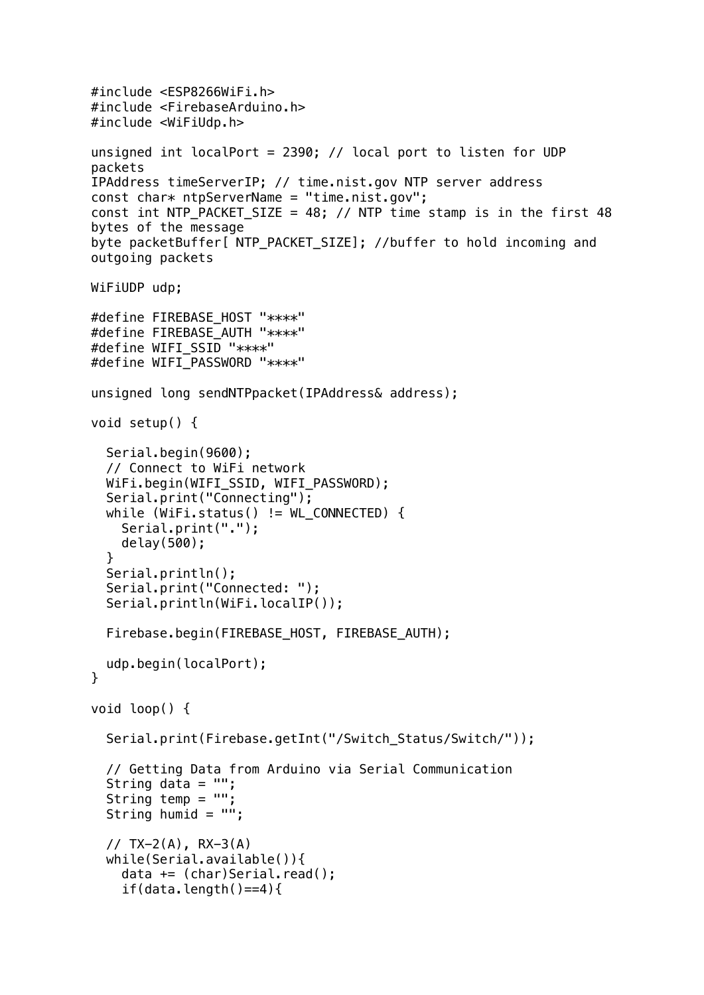```
#include <ESP8266WiFi.h>
#include <FirebaseArduino.h>
#include <WiFiUdp.h>
unsigned int localPort = 2390; // local port to listen for UDP 
packets
IPAddress timeServerIP; // time.nist.gov NTP server address
const char* ntpServerName = "time.nist.gov";
const int NTP_PACKET_SIZE = 48; // NTP time stamp is in the first 48
bytes of the message
byte packetBuffer[ NTP_PACKET_SIZE]; //buffer to hold incoming and 
outgoing packets
WiFiUDP udp;
#define FIREBASE_HOST "****"
#define FIREBASE_AUTH "****"
#define WIFI_SSID "****"
#define WIFI PASSWORD "****"
unsigned long sendNTPpacket(IPAddress& address);
void setup() {
   Serial.begin(9600);
   // Connect to WiFi network
  WiFi.begin(WIFI_SSID, WIFI_PASSWORD);
   Serial.print("Connecting");
  while (WiFi.status() := WL COMNECTED) { } Serial.print(".");
     delay(500);
   }
   Serial.println();
   Serial.print("Connected: ");
   Serial.println(WiFi.localIP());
   Firebase.begin(FIREBASE_HOST, FIREBASE_AUTH);
   udp.begin(localPort);
}
void loop() {
   Serial.print(Firebase.getInt("/Switch_Status/Switch/"));
   // Getting Data from Arduino via Serial Communication
  String data = "";
  String temp = ":
  String humid = "";
  // TX-2(A), RX-3(A) while(Serial.available()){
    data += (char)Serial.read();
    if(data.length()==4){
```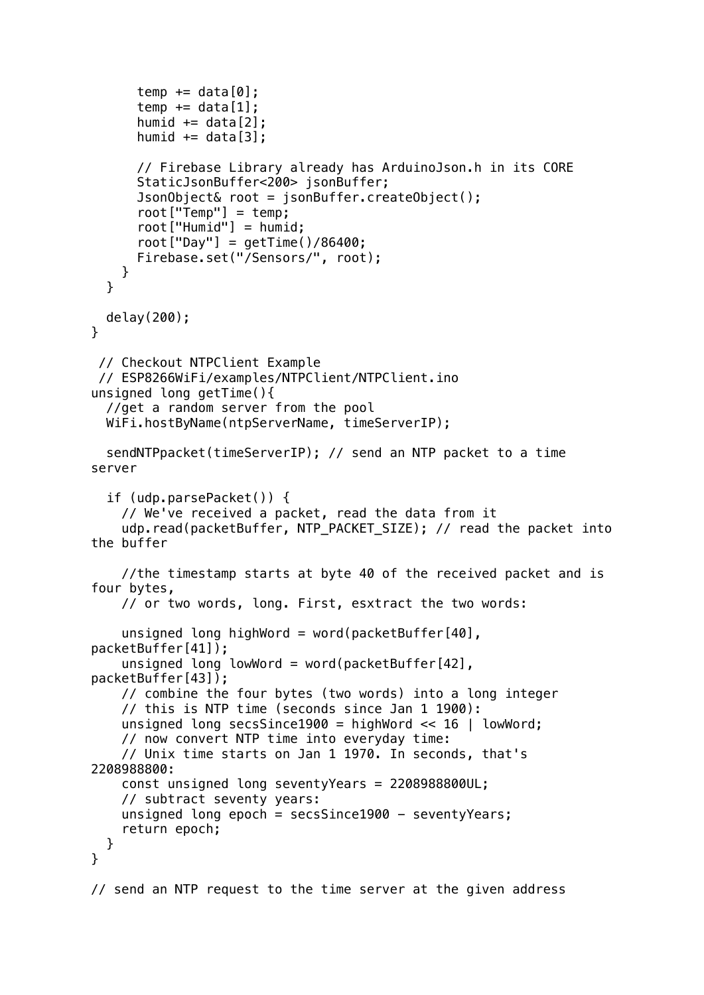```
temp += data[0];
      temp += data[1];
      humid += data[2];
      humid += data[3]:
       // Firebase Library already has ArduinoJson.h in its CORE 
       StaticJsonBuffer<200> jsonBuffer;
       JsonObject& root = jsonBuffer.createObject();
       root["Temp"] = temp;
       root["Humid"] = humid;
      root['Day"] = getTime() / 86400; Firebase.set("/Sensors/", root);
     }
   }
   delay(200);
}
  // Checkout NTPClient Example
  // ESP8266WiFi/examples/NTPClient/NTPClient.ino
unsigned long getTime(){
   //get a random server from the pool
   WiFi.hostByName(ntpServerName, timeServerIP); 
   sendNTPpacket(timeServerIP); // send an NTP packet to a time 
server
   if (udp.parsePacket()) {
     // We've received a packet, read the data from it
    udp.read(packetBuffer, NTP_PACKET_SIZE); // read the packet into
the buffer
     //the timestamp starts at byte 40 of the received packet and is 
four bytes,
     // or two words, long. First, esxtract the two words:
    unsigned long highWord = word(packetBuffer[40],
packetBuffer[41]);
    unsigned long lowWord = word(packetBuffer[42],
packetBuffer[43]);
     // combine the four bytes (two words) into a long integer
     // this is NTP time (seconds since Jan 1 1900):
    unsigned long secsSince1900 = highWord \lt\lt 16 | lowWord;
     // now convert NTP time into everyday time:
     // Unix time starts on Jan 1 1970. In seconds, that's 
2208988800:
     const unsigned long seventyYears = 2208988800UL;
     // subtract seventy years:
    unsigned long epoch = secsSince1900 - seventyYears;
     return epoch;
   }
}
// send an NTP request to the time server at the given address
```